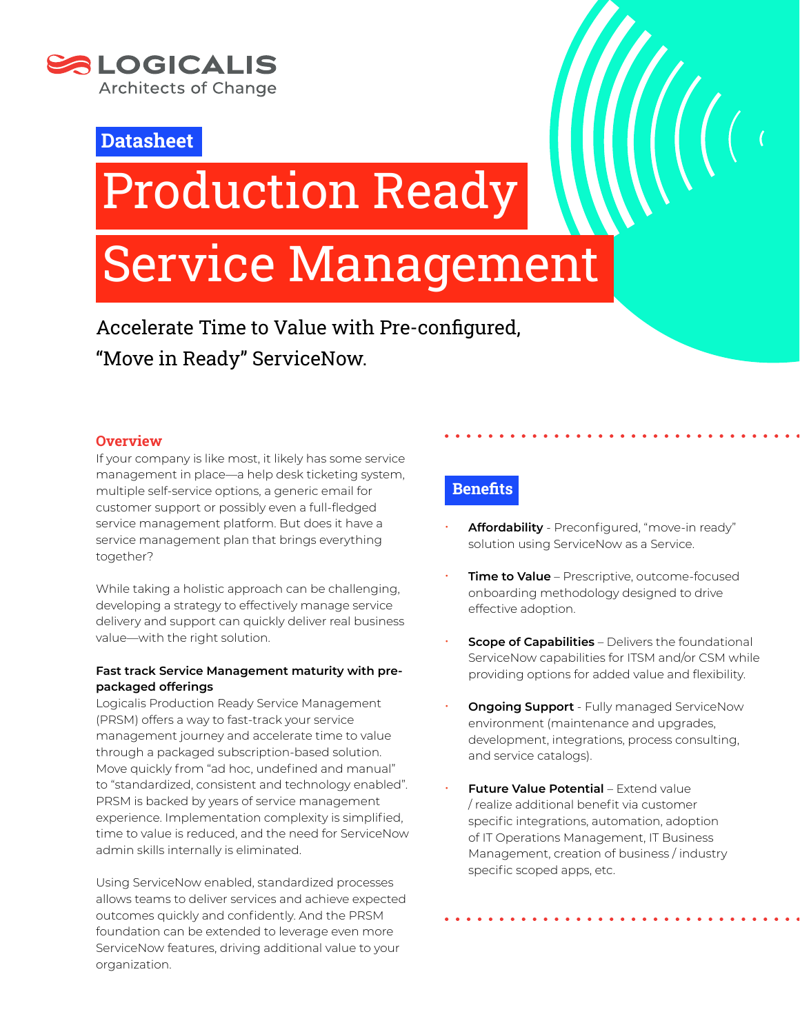

**Datasheet**

# Production Ready

# Service Management

Accelerate Time to Value with Pre-configured, "Move in Ready" ServiceNow.

# **Overview**

If your company is like most, it likely has some service management in place—a help desk ticketing system, multiple self-service options, a generic email for customer support or possibly even a full-fledged service management platform. But does it have a service management plan that brings everything together?

While taking a holistic approach can be challenging, developing a strategy to effectively manage service delivery and support can quickly deliver real business value—with the right solution.

# **Fast track Service Management maturity with prepackaged offerings**

Logicalis Production Ready Service Management (PRSM) offers a way to fast-track your service management journey and accelerate time to value through a packaged subscription-based solution. Move quickly from "ad hoc, undefined and manual" to "standardized, consistent and technology enabled". PRSM is backed by years of service management experience. Implementation complexity is simplified, time to value is reduced, and the need for ServiceNow admin skills internally is eliminated.

Using ServiceNow enabled, standardized processes allows teams to deliver services and achieve expected outcomes quickly and confidently. And the PRSM foundation can be extended to leverage even more ServiceNow features, driving additional value to your organization.

# **Benefits**

- Affordability Preconfigured, "move-in ready" solution using ServiceNow as a Service.
- **Time to Value** Prescriptive, outcome-focused onboarding methodology designed to drive effective adoption.
- **Scope of Capabilities Delivers the foundational** ServiceNow capabilities for ITSM and/or CSM while providing options for added value and flexibility.
- **Ongoing Support** Fully managed ServiceNow environment (maintenance and upgrades, development, integrations, process consulting, and service catalogs).
- **Future Value Potential Extend value** / realize additional benefit via customer specific integrations, automation, adoption of IT Operations Management, IT Business Management, creation of business / industry specific scoped apps, etc.